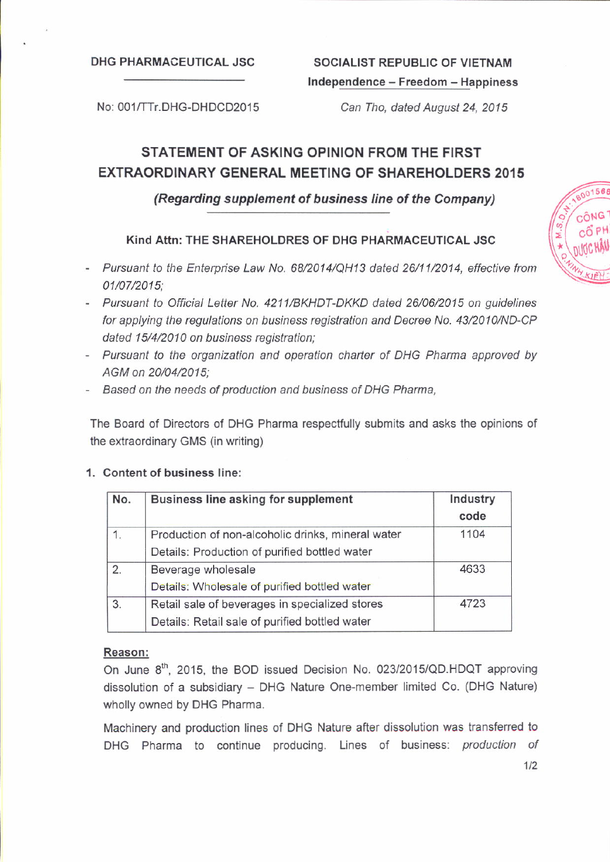#### DHG PHARMACEUTICAL JSC SOCIALIST REPUBLIC OF VIETNAM

# Independence - Freedom - Happiness

No: 001/TTr.DHG-DHDCD2015 Can Tho, dated August 24, 2015

# STATEMENT OF ASKING OPINION FROM THE FIRST EXTRAORDINARY GENERAL MEETING OF SHAREHOLDERS 2015

### (Regarding supplement of business line of the Company)

#### Kind Attn: THE SHAREHOLDRES OF DHG PHARMACEUTICAL JSC

- Pursuant to the Enterprise Law No. 68/2014/QH13 dated 26/112014, effective from 01/072015;
- Pursuant to Official Letter No, 4211/BKHDT-DKKD dated 26/06/2015 on guidelines for applying the regulations on business registration and Decree No. 43/2010/ND-CP dated 15/4/2010 on business registration;
- Pursuant to the organization and operation charter of DHG Pharma approved by AGM on 20/04/2015;
- Based on the needs of production and business of DHG Pharma,

The Board of Directors of DHG Pharma respectfully submits and asks the opinions of the extraordinary GMS (in writing)

#### '1. Content of business line:

| No. | Business line asking for supplement               | Industry<br>code |
|-----|---------------------------------------------------|------------------|
| 1.  | Production of non-alcoholic drinks, mineral water | 1104             |
|     | Details: Production of purified bottled water     |                  |
| 2.  | Beverage wholesale                                | 4633             |
|     | Details: Wholesale of purified bottled water      |                  |
| 3.  | Retail sale of beverages in specialized stores    | 4723             |
|     | Details: Retail sale of purified bottled water    |                  |

#### Reason:

On June 8<sup>th</sup>, 2015, the BOD issued Decision No. 023/2015/QD.HDQT approving dissolution of a subsidiary - DHG Nature One-member limited Co. (DHG Nature) wholly owned by DHG Pharma.

Machinery and production lines of DHG Nature after dissolution was transferred to DHG Pharma to continue producing. Lines of business: production of